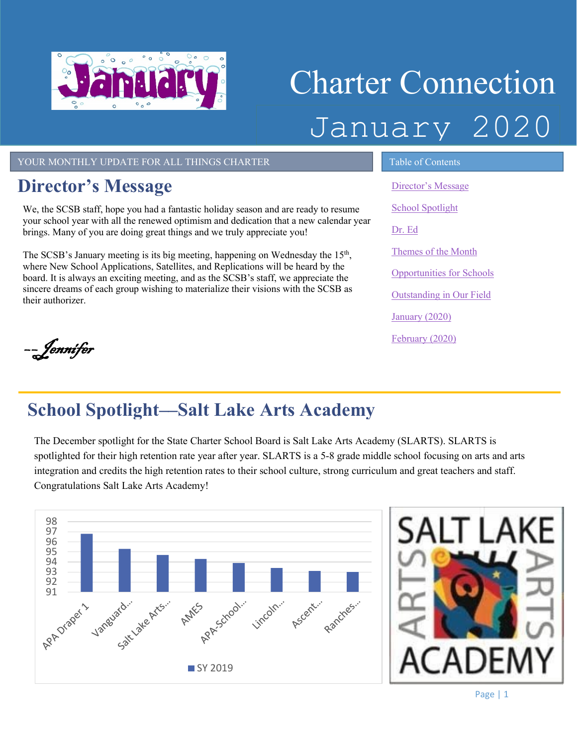

# Charter Connection January 2020

#### YOUR MONTHLY UPDATE FOR ALL THINGS CHARTER TABLE OF Contents

#### <span id="page-0-0"></span>**Director's Message**

We, the SCSB staff, hope you had a fantastic holiday season and are ready to resume your school year with all the renewed optimism and dedication that a new calendar year brings. Many of you are doing great things and we truly appreciate you!

The SCSB's January meeting is its big meeting, happening on Wednesday the  $15<sup>th</sup>$ , where New School Applications, Satellites, and Replications will be heard by the board. It is always an exciting meeting, and as the SCSB's staff, we appreciate the sincere dreams of each group wishing to materialize their visions with the SCSB as their authorizer.

[Director's Message](#page-0-0) [School Spotlight](#page-0-1) [Dr. Ed](#page-1-0) Themes of the Month [Opportunities for Schools](#page-2-0)  [Outstanding in Our Field](#page-2-1) [January \(2020\)](#page-3-0) [February \(2020\)](#page-3-1)

––Jennifer

## <span id="page-0-1"></span>**School Spotlight––Salt Lake Arts Academy**

The December spotlight for the State Charter School Board is Salt Lake Arts Academy (SLARTS). SLARTS is spotlighted for their high retention rate year after year. SLARTS is a 5-8 grade middle school focusing on arts and arts integration and credits the high retention rates to their school culture, strong curriculum and great teachers and staff. Congratulations Salt Lake Arts Academy!

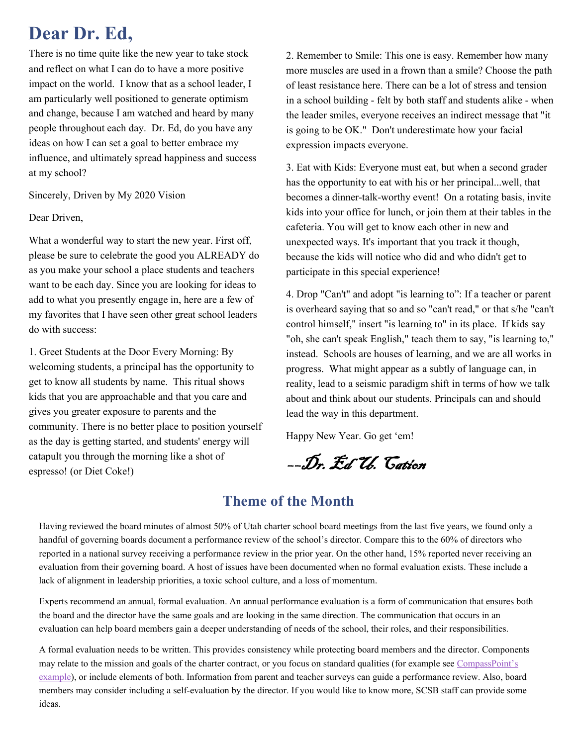#### <span id="page-1-0"></span>**Dear Dr. Ed,**

There is no time quite like the new year to take stock and reflect on what I can do to have a more positive impact on the world. I know that as a school leader, I am particularly well positioned to generate optimism and change, because I am watched and heard by many people throughout each day. Dr. Ed, do you have any ideas on how I can set a goal to better embrace my influence, and ultimately spread happiness and success at my school?

Sincerely, Driven by My 2020 Vision

Dear Driven,

What a wonderful way to start the new year. First off, please be sure to celebrate the good you ALREADY do as you make your school a place students and teachers want to be each day. Since you are looking for ideas to add to what you presently engage in, here are a few of my favorites that I have seen other great school leaders do with success:

1. Greet Students at the Door Every Morning: By welcoming students, a principal has the opportunity to get to know all students by name. This ritual shows kids that you are approachable and that you care and gives you greater exposure to parents and the community. There is no better place to position yourself as the day is getting started, and students' energy will catapult you through the morning like a shot of espresso! (or Diet Coke!)

2. Remember to Smile: This one is easy. Remember how many more muscles are used in a frown than a smile? Choose the path of least resistance here. There can be a lot of stress and tension in a school building - felt by both staff and students alike - when the leader smiles, everyone receives an indirect message that "it is going to be OK." Don't underestimate how your facial expression impacts everyone.

3. Eat with Kids: Everyone must eat, but when a second grader has the opportunity to eat with his or her principal...well, that becomes a dinner-talk-worthy event! On a rotating basis, invite kids into your office for lunch, or join them at their tables in the cafeteria. You will get to know each other in new and unexpected ways. It's important that you track it though, because the kids will notice who did and who didn't get to participate in this special experience!

4. Drop "Can't" and adopt "is learning to": If a teacher or parent is overheard saying that so and so "can't read," or that s/he "can't control himself," insert "is learning to" in its place. If kids say "oh, she can't speak English," teach them to say, "is learning to," instead. Schools are houses of learning, and we are all works in progress. What might appear as a subtly of language can, in reality, lead to a seismic paradigm shift in terms of how we talk about and think about our students. Principals can and should lead the way in this department.

Happy New Year. Go get 'em!

––Dr. Ed U. Cation

#### **Theme of the Month**

Having reviewed the board minutes of almost 50% of Utah charter school board meetings from the last five years, we found only a handful of governing boards document a performance review of the school's director. Compare this to the 60% of directors who reported in a national survey receiving a performance review in the prior year. On the other hand, 15% reported never receiving an evaluation from their governing board. A host of issues have been documented when no formal evaluation exists. These include a lack of alignment in leadership priorities, a toxic school culture, and a loss of momentum.

Experts recommend an annual, formal evaluation. An annual performance evaluation is a form of communication that ensures both the board and the director have the same goals and are looking in the same direction. The communication that occurs in an evaluation can help board members gain a deeper understanding of needs of the school, their roles, and their responsibilities.

members may consider including a self-evaluation by the director. If you would like to know more, SCSB staff can provide some A formal evaluation needs to be written. This provides consistency while protecting board members and the director. Components may relate to the mission and goals of the charter contract, or you focus on standard qualities (for example see CompassPoint's [example\)](https://www.compasspoint.org/sites/default/files/documents/ED_Performance_Evaluatio_Template.pdf), or include elements of both. Information from parent and teacher surveys can guide a performance review. Also, board ideas.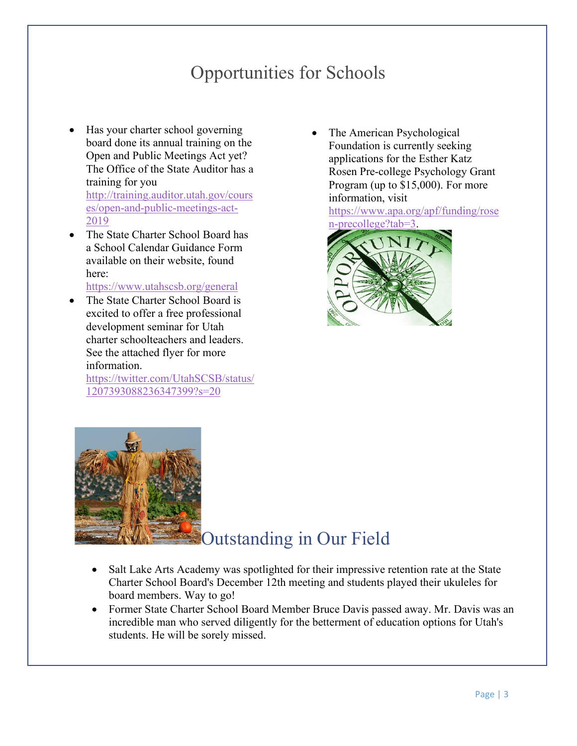### Opportunities for Schools

- <span id="page-2-0"></span>• Has your charter school governing board done its annual training on the Open and Public Meetings Act yet? The Office of the State Auditor has a training for you [http://training.auditor.utah.gov/cours](http://training.auditor.utah.gov/courses/open-and-public-meetings-act-2019) [es/open-and-public-meetings-act-](http://training.auditor.utah.gov/courses/open-and-public-meetings-act-2019)[2019](http://training.auditor.utah.gov/courses/open-and-public-meetings-act-2019)
- The State Charter School Board has a School Calendar Guidance Form available on their website, found here:

<https://www.utahscsb.org/general>

The State Charter School Board is excited to offer a free professional development seminar for Utah charter schoolteachers and leaders. See the attached flyer for more information.

<span id="page-2-1"></span>[https://twitter.com/UtahSCSB/status/](https://twitter.com/UtahSCSB/status/1207393088236347399?s=20) [1207393088236347399?s=20](https://twitter.com/UtahSCSB/status/1207393088236347399?s=20)

The American Psychological Foundation is currently seeking applications for the Esther Katz Rosen Pre-college Psychology Grant Program (up to \$15,000). For more information, visit

[https://www.apa.org/apf/funding/rose](https://www.apa.org/apf/funding/rosen-precollege?tab=3) [n-precollege?tab=3.](https://www.apa.org/apf/funding/rosen-precollege?tab=3)





#### Outstanding in Our Field

- Salt Lake Arts Academy was spotlighted for their impressive retention rate at the State Charter School Board's December 12th meeting and students played their ukuleles for board members. Way to go!
- Former State Charter School Board Member Bruce Davis passed away. Mr. Davis was an incredible man who served diligently for the betterment of education options for Utah's students. He will be sorely missed.